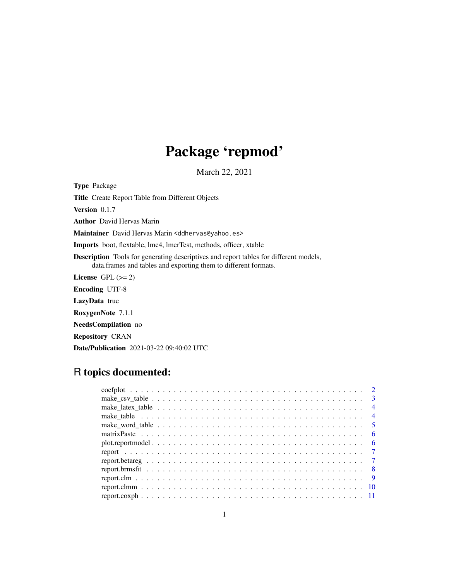## Package 'repmod'

March 22, 2021

Type Package

Title Create Report Table from Different Objects

Version 0.1.7

Author David Hervas Marin

Maintainer David Hervas Marin <ddhervas@yahoo.es>

Imports boot, flextable, lme4, lmerTest, methods, officer, xtable

Description Tools for generating descriptives and report tables for different models, data.frames and tables and exporting them to different formats.

License GPL  $(>= 2)$ 

Encoding UTF-8

LazyData true

RoxygenNote 7.1.1

NeedsCompilation no

Repository CRAN

Date/Publication 2021-03-22 09:40:02 UTC

## R topics documented:

| make_table $\dots \dots \dots \dots \dots \dots \dots \dots \dots \dots \dots \dots \dots \dots \dots \dots \dots$ |     |
|--------------------------------------------------------------------------------------------------------------------|-----|
|                                                                                                                    |     |
|                                                                                                                    | - 6 |
|                                                                                                                    |     |
|                                                                                                                    |     |
|                                                                                                                    |     |
|                                                                                                                    |     |
|                                                                                                                    |     |
|                                                                                                                    |     |
|                                                                                                                    |     |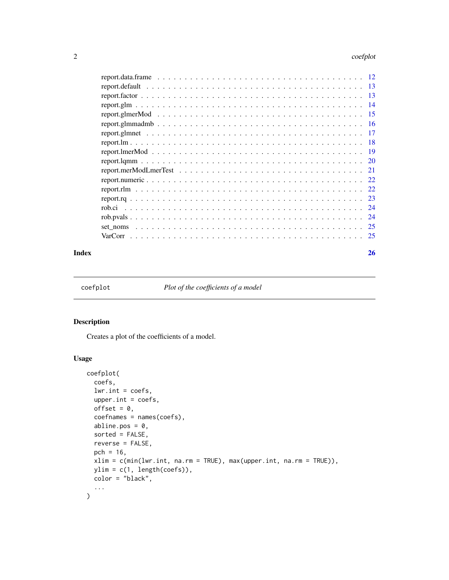#### <span id="page-1-0"></span>2 coefplot

|          | -13  |
|----------|------|
|          | 13   |
|          | 14   |
|          | -15  |
|          | -16  |
|          | -17  |
|          | -18  |
|          | - 19 |
|          |      |
|          |      |
|          |      |
|          |      |
|          |      |
|          | 24   |
|          | 24   |
| set noms | -25  |
| VarCorr  | 25   |
|          |      |

#### **Index** [26](#page-25-0)

coefplot *Plot of the coefficients of a model*

#### Description

Creates a plot of the coefficients of a model.

## Usage

```
coefplot(
 coefs,
 lwr.int = coefs,upper.int = coefs,
 offset = 0,
 coefnames = names(coefs),
 abline.pos = 0,
 sorted = FALSE,
 reverse = FALSE,
 pch = 16,
 xlim = c(min(lwr.int, na.rm = TRUE), max(upper.int, na.rm = TRUE)),
 ylim = c(1, length(coefs)),
 color = "black",
  ...
)
```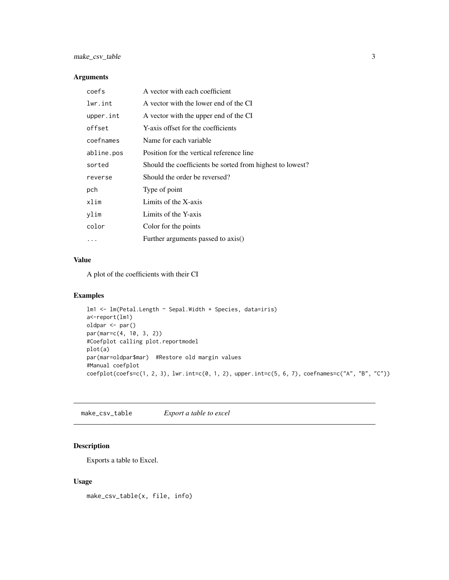#### <span id="page-2-0"></span>Arguments

| coefs      | A vector with each coefficient                            |
|------------|-----------------------------------------------------------|
| lwr.int    | A vector with the lower end of the CI                     |
| upper.int  | A vector with the upper end of the CI                     |
| offset     | Y-axis offset for the coefficients                        |
| coefnames  | Name for each variable                                    |
| abline.pos | Position for the vertical reference line                  |
| sorted     | Should the coefficients be sorted from highest to lowest? |
| reverse    | Should the order be reversed?                             |
| pch        | Type of point                                             |
| xlim       | Limits of the X-axis                                      |
| ylim       | Limits of the Y-axis                                      |
| color      | Color for the points                                      |
|            | Further arguments passed to axis()                        |

#### Value

A plot of the coefficients with their CI

#### Examples

```
lm1 <- lm(Petal.Length ~ Sepal.Width + Species, data=iris)
a<-report(lm1)
oldpar <- par()
par(mar=c(4, 10, 3, 2))
#Coefplot calling plot.reportmodel
plot(a)
par(mar=oldpar$mar) #Restore old margin values
#Manual coefplot
coefplot(coefs=c(1, 2, 3), lwr.int=c(0, 1, 2), upper.int=c(5, 6, 7), coefnames=c("A", "B", "C"))
```
make\_csv\_table *Export a table to excel*

#### Description

Exports a table to Excel.

#### Usage

make\_csv\_table(x, file, info)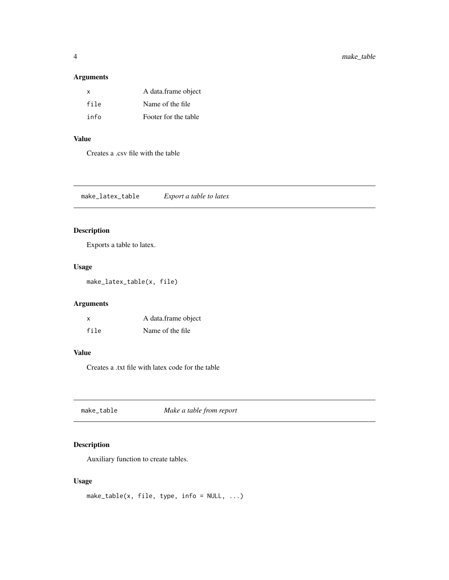#### <span id="page-3-0"></span>Arguments

| $\mathsf{x}$ | A data.frame object  |
|--------------|----------------------|
| file         | Name of the file     |
| info         | Footer for the table |

## Value

Creates a .csv file with the table

make\_latex\_table *Export a table to latex*

## Description

Exports a table to latex.

#### Usage

make\_latex\_table(x, file)

#### Arguments

| X    | A data.frame object |
|------|---------------------|
| file | Name of the file.   |

## Value

Creates a .txt file with latex code for the table

make\_table *Make a table from report*

## Description

Auxiliary function to create tables.

## Usage

make\_table(x, file, type,  $info = NULL, ...$ )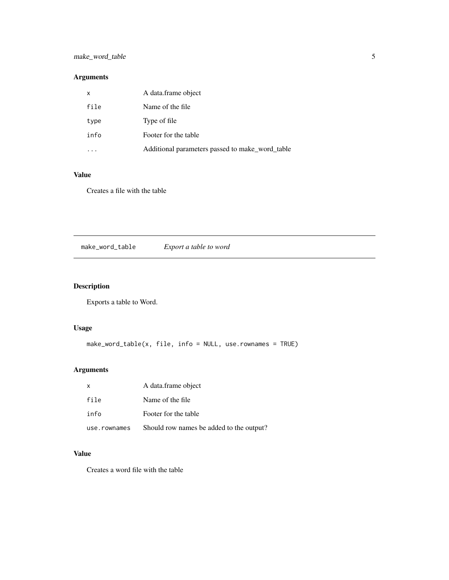## <span id="page-4-0"></span>make\_word\_table 5

## Arguments

| x    | A data frame object                             |
|------|-------------------------------------------------|
| file | Name of the file                                |
| type | Type of file                                    |
| info | Footer for the table                            |
|      | Additional parameters passed to make_word_table |

#### Value

Creates a file with the table

make\_word\_table *Export a table to word*

## Description

Exports a table to Word.

## Usage

make\_word\_table(x, file, info = NULL, use.rownames = TRUE)

## Arguments

| $\mathsf{x}$ | A data.frame object                      |
|--------------|------------------------------------------|
| file         | Name of the file.                        |
| info         | Footer for the table                     |
| use.rownames | Should row names be added to the output? |

## Value

Creates a word file with the table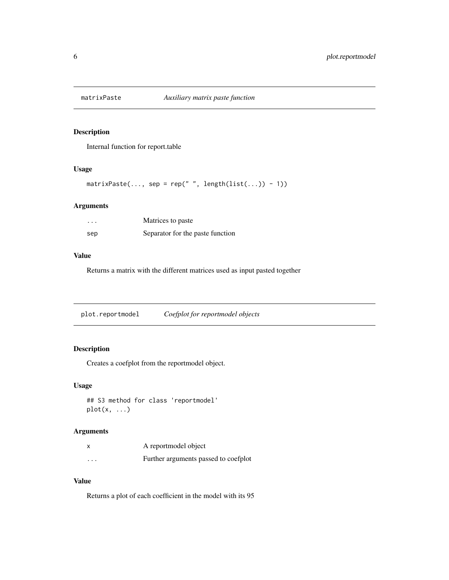<span id="page-5-0"></span>

Internal function for report.table

## Usage

```
matrixPaste(..., sep = rep(" ", length(list(...)) - 1))
```
## Arguments

| .   | Matrices to paste                |
|-----|----------------------------------|
| sep | Separator for the paste function |

#### Value

Returns a matrix with the different matrices used as input pasted together

plot.reportmodel *Coefplot for reportmodel objects*

## Description

Creates a coefplot from the reportmodel object.

#### Usage

```
## S3 method for class 'reportmodel'
plot(x, \ldots)
```
## Arguments

|          | A reportmodel object                 |
|----------|--------------------------------------|
| $\cdots$ | Further arguments passed to coefplot |

#### Value

Returns a plot of each coefficient in the model with its 95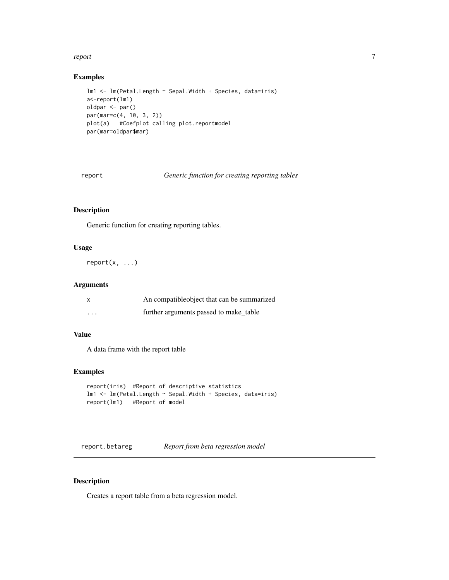#### <span id="page-6-0"></span>report that the contract of the contract of the contract of the contract of the contract of the contract of the contract of the contract of the contract of the contract of the contract of the contract of the contract of th

#### Examples

```
lm1 <- lm(Petal.Length ~ Sepal.Width + Species, data=iris)
a<-report(lm1)
oldpar <- par()
par(mar=c(4, 10, 3, 2))
plot(a) #Coefplot calling plot.reportmodel
par(mar=oldpar$mar)
```
report *Generic function for creating reporting tables*

## Description

Generic function for creating reporting tables.

#### Usage

report(x, ...)

#### Arguments

|          | An compatible object that can be summarized |
|----------|---------------------------------------------|
| $\cdots$ | further arguments passed to make table      |

#### Value

A data frame with the report table

#### Examples

```
report(iris) #Report of descriptive statistics
lm1 <- lm(Petal.Length ~ Sepal.Width + Species, data=iris)
report(lm1) #Report of model
```
report.betareg *Report from beta regression model*

#### Description

Creates a report table from a beta regression model.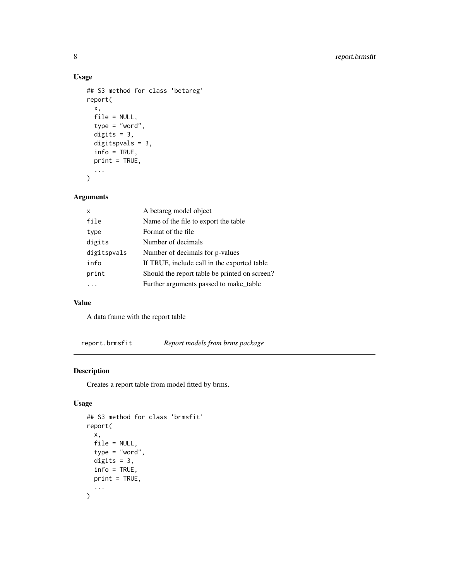## Usage

```
## S3 method for class 'betareg'
report(
  x,
 file = NULL,
  type = "word",digits = 3,
 digitspvals = 3,
  info = TRUE,print = TRUE,
  ...
)
```
## Arguments

| x           | A betareg model object                        |
|-------------|-----------------------------------------------|
| file        | Name of the file to export the table          |
| type        | Format of the file                            |
| digits      | Number of decimals                            |
| digitspvals | Number of decimals for p-values               |
| info        | If TRUE, include call in the exported table   |
| print       | Should the report table be printed on screen? |
|             | Further arguments passed to make_table        |
|             |                                               |

## Value

A data frame with the report table

report.brmsfit *Report models from brms package*

## Description

Creates a report table from model fitted by brms.

## Usage

```
## S3 method for class 'brmsfit'
report(
  x,
 file = NULL,
  type = "word",
 digits = 3,
 info = TRUE,
 print = TRUE,
  ...
\mathcal{L}
```
<span id="page-7-0"></span>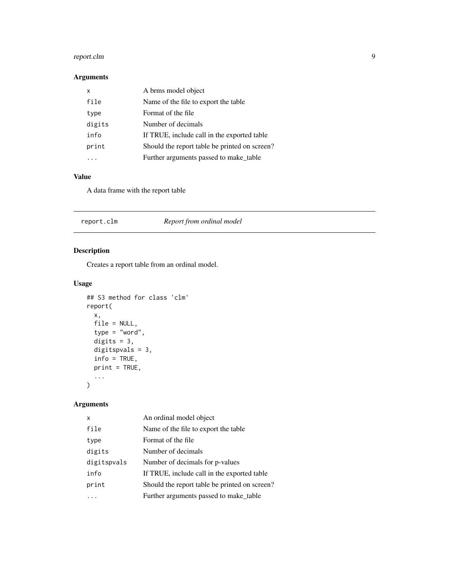## <span id="page-8-0"></span>report.clm 9

## Arguments

| x      | A brms model object                           |
|--------|-----------------------------------------------|
| file   | Name of the file to export the table          |
| type   | Format of the file                            |
| digits | Number of decimals                            |
| info   | If TRUE, include call in the exported table   |
| print  | Should the report table be printed on screen? |
|        | Further arguments passed to make_table        |

## Value

A data frame with the report table

| Report from ordinal model |
|---------------------------|
|---------------------------|

## Description

Creates a report table from an ordinal model.

## Usage

```
## S3 method for class 'clm'
report(
 x,
 file = NULL,
 type = "word",digits = 3,
 digitspvals = 3,
  info = TRUE,print = TRUE,
  ...
\mathcal{L}
```
## Arguments

| X           | An ordinal model object                       |
|-------------|-----------------------------------------------|
| file        | Name of the file to export the table          |
| type        | Format of the file                            |
| digits      | Number of decimals                            |
| digitspvals | Number of decimals for p-values               |
| info        | If TRUE, include call in the exported table   |
| print       | Should the report table be printed on screen? |
|             | Further arguments passed to make table        |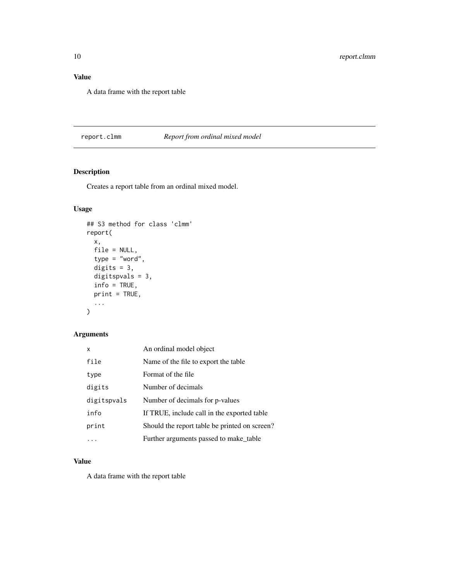## <span id="page-9-0"></span>Value

A data frame with the report table

#### report.clmm *Report from ordinal mixed model*

## Description

Creates a report table from an ordinal mixed model.

### Usage

```
## S3 method for class 'clmm'
report(
  x,
  file = NULL,
  type = "word",
  digits = 3,
  digitspvals = 3,
  info = TRUE,
  print = TRUE,
  ...
\mathcal{L}
```
#### Arguments

| x           | An ordinal model object                       |
|-------------|-----------------------------------------------|
| file        | Name of the file to export the table.         |
| type        | Format of the file                            |
| digits      | Number of decimals                            |
| digitspvals | Number of decimals for p-values               |
| info        | If TRUE, include call in the exported table   |
| print       | Should the report table be printed on screen? |
|             | Further arguments passed to make_table        |

## Value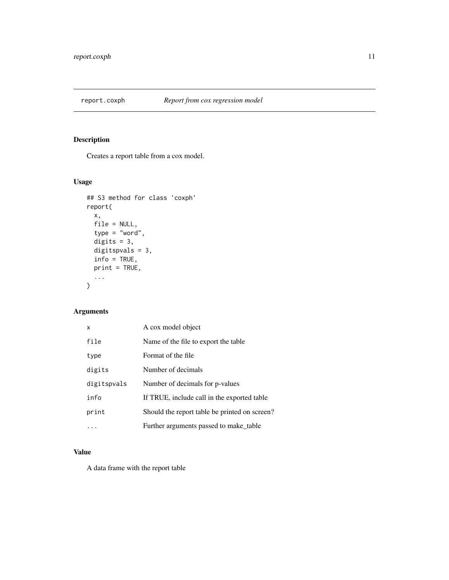<span id="page-10-0"></span>

Creates a report table from a cox model.

## Usage

```
## S3 method for class 'coxph'
report(
 x,
 file = NULL,
 type = "word",digits = 3,
 digitspvals = 3,
 info = TRUE,
 print = TRUE,
  ...
)
```
## Arguments

| x           | A cox model object                            |
|-------------|-----------------------------------------------|
| file        | Name of the file to export the table          |
| type        | Format of the file                            |
| digits      | Number of decimals                            |
| digitspvals | Number of decimals for p-values               |
| info        | If TRUE, include call in the exported table   |
| print       | Should the report table be printed on screen? |
|             | Further arguments passed to make table        |

#### Value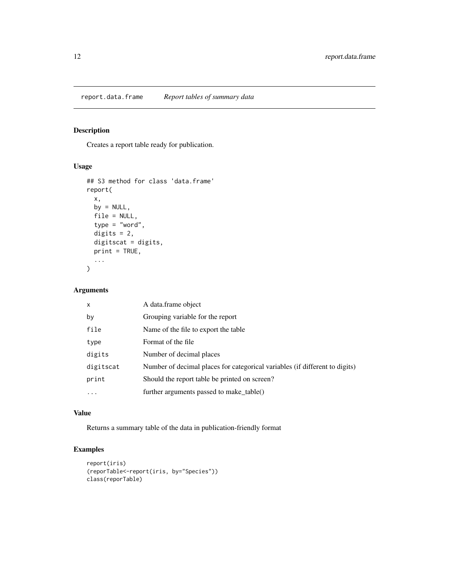<span id="page-11-0"></span>report.data.frame *Report tables of summary data*

## Description

Creates a report table ready for publication.

#### Usage

```
## S3 method for class 'data.frame'
report(
 x,
 by = NULL,
 file = NULL,
 type = "word",
 digits = 2,
 digitscat = digits,
 print = TRUE,
  ...
)
```
#### Arguments

| $\times$  | A data.frame object                                                         |
|-----------|-----------------------------------------------------------------------------|
| by        | Grouping variable for the report                                            |
| file      | Name of the file to export the table                                        |
| type      | Format of the file                                                          |
| digits    | Number of decimal places                                                    |
| digitscat | Number of decimal places for categorical variables (if different to digits) |
| print     | Should the report table be printed on screen?                               |
| $\ddotsc$ | further arguments passed to make table()                                    |

#### Value

Returns a summary table of the data in publication-friendly format

## Examples

```
report(iris)
(reporTable<-report(iris, by="Species"))
class(reporTable)
```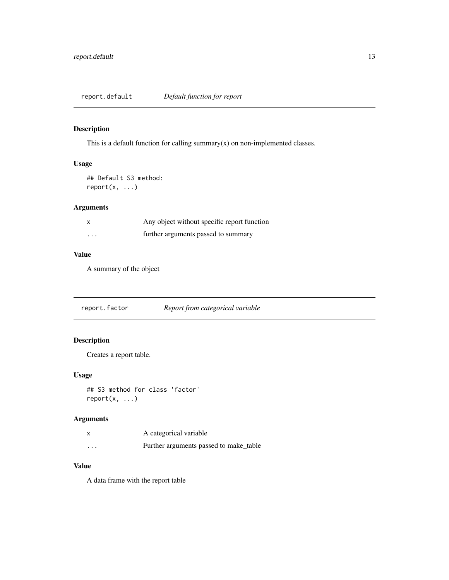<span id="page-12-0"></span>report.default *Default function for report*

## Description

This is a default function for calling summary $(x)$  on non-implemented classes.

#### Usage

## Default S3 method:  $report(x, \ldots)$ 

#### Arguments

|          | Any object without specific report function |
|----------|---------------------------------------------|
| $\cdots$ | further arguments passed to summary         |

#### Value

A summary of the object

report.factor *Report from categorical variable*

#### Description

Creates a report table.

#### Usage

```
## S3 method for class 'factor'
report(x, ...)
```
## Arguments

|                         | A categorical variable                 |
|-------------------------|----------------------------------------|
| $\cdot$ $\cdot$ $\cdot$ | Further arguments passed to make_table |

#### Value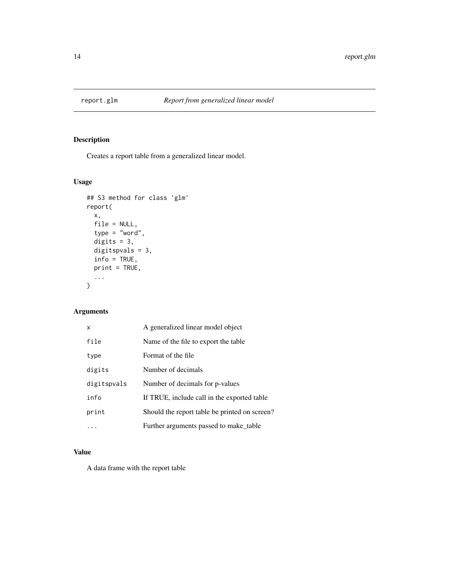<span id="page-13-0"></span>

Creates a report table from a generalized linear model.

## Usage

```
## S3 method for class 'glm'
report(
 x,
 file = NULL,
 type = "word",digits = 3,
 digitspvals = 3,
  info = TRUE,
 print = TRUE,
  ...
)
```
#### Arguments

| x           | A generalized linear model object             |
|-------------|-----------------------------------------------|
| file        | Name of the file to export the table          |
| type        | Format of the file                            |
| digits      | Number of decimals                            |
| digitspvals | Number of decimals for p-values               |
| info        | If TRUE, include call in the exported table   |
| print       | Should the report table be printed on screen? |
|             | Further arguments passed to make_table        |

## Value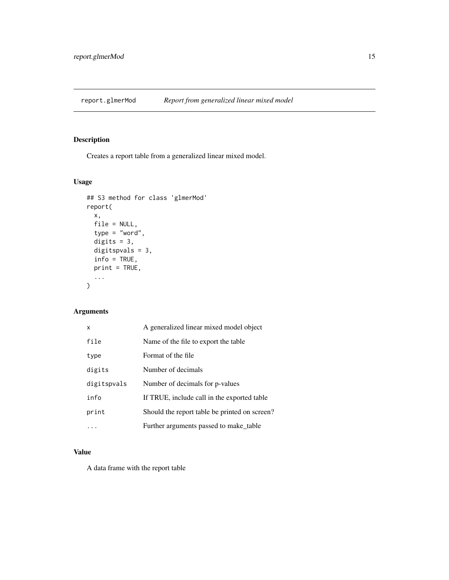<span id="page-14-0"></span>

Creates a report table from a generalized linear mixed model.

#### Usage

```
## S3 method for class 'glmerMod'
report(
 x,
 file = NULL,
  type = "word",
 digits = 3,
 digitspvals = 3,
  info = TRUE,
 print = TRUE,
  ...
)
```
## Arguments

| x           | A generalized linear mixed model object       |
|-------------|-----------------------------------------------|
| file        | Name of the file to export the table          |
| type        | Format of the file                            |
| digits      | Number of decimals                            |
| digitspvals | Number of decimals for p-values               |
| info        | If TRUE, include call in the exported table   |
| print       | Should the report table be printed on screen? |
|             | Further arguments passed to make_table        |

## Value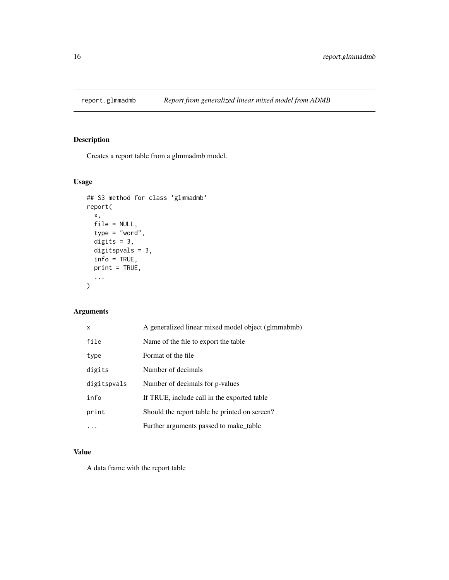<span id="page-15-0"></span>

Creates a report table from a glmmadmb model.

#### Usage

```
## S3 method for class 'glmmadmb'
report(
 x,
 file = NULL,
  type = "word",
 digits = 3,
 digitspvals = 3,
  info = TRUE,
 print = TRUE,
  ...
)
```
#### Arguments

| x           | A generalized linear mixed model object (glmmabmb) |
|-------------|----------------------------------------------------|
| file        | Name of the file to export the table.              |
| type        | Format of the file                                 |
| digits      | Number of decimals                                 |
| digitspvals | Number of decimals for p-values                    |
| info        | If TRUE, include call in the exported table        |
| print       | Should the report table be printed on screen?      |
|             | Further arguments passed to make table             |

## Value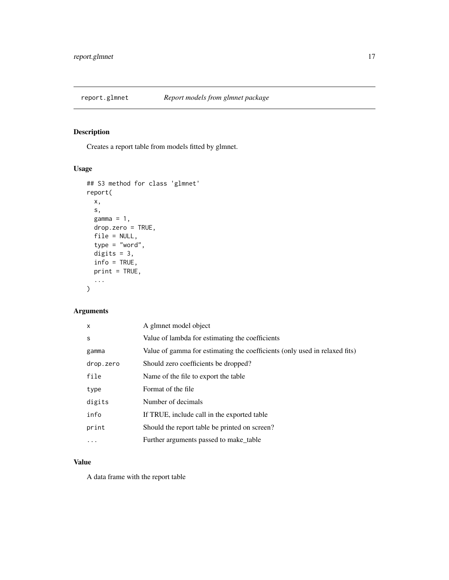<span id="page-16-0"></span>

Creates a report table from models fitted by glmnet.

## Usage

```
## S3 method for class 'glmnet'
report(
 x,
  s,
 gamma = 1,
 drop.zero = TRUE,
 file = NULL,
  type = "word",
 digits = 3,
  info = TRUE,
 print = TRUE,
  ...
\mathcal{L}
```
## Arguments

| $\mathsf{x}$ | A glmnet model object                                                      |
|--------------|----------------------------------------------------------------------------|
| S            | Value of lambda for estimating the coefficients                            |
| gamma        | Value of gamma for estimating the coefficients (only used in relaxed fits) |
| drop.zero    | Should zero coefficients be dropped?                                       |
| file         | Name of the file to export the table                                       |
| type         | Format of the file                                                         |
| digits       | Number of decimals                                                         |
| info         | If TRUE, include call in the exported table                                |
| print        | Should the report table be printed on screen?                              |
|              | Further arguments passed to make_table                                     |
|              |                                                                            |

#### Value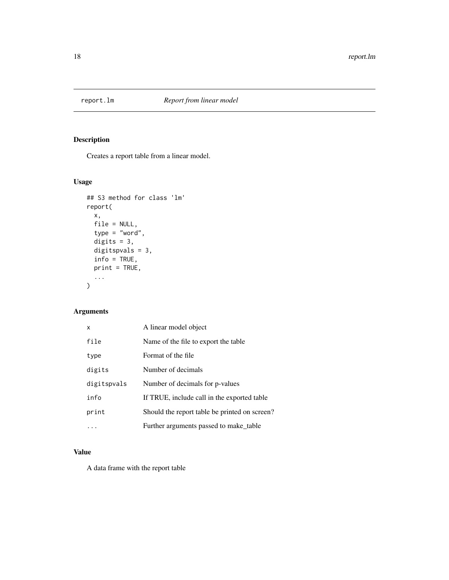<span id="page-17-0"></span>

Creates a report table from a linear model.

## Usage

```
## S3 method for class 'lm'
report(
 x,
 file = NULL,
 type = "word",digits = 3,
 digitspvals = 3,
  info = TRUE,
 print = TRUE,
  ...
)
```
## Arguments

| x           | A linear model object                         |
|-------------|-----------------------------------------------|
| file        | Name of the file to export the table          |
| type        | Format of the file                            |
| digits      | Number of decimals                            |
| digitspvals | Number of decimals for p-values               |
| info        | If TRUE, include call in the exported table   |
| print       | Should the report table be printed on screen? |
|             | Further arguments passed to make table        |

## Value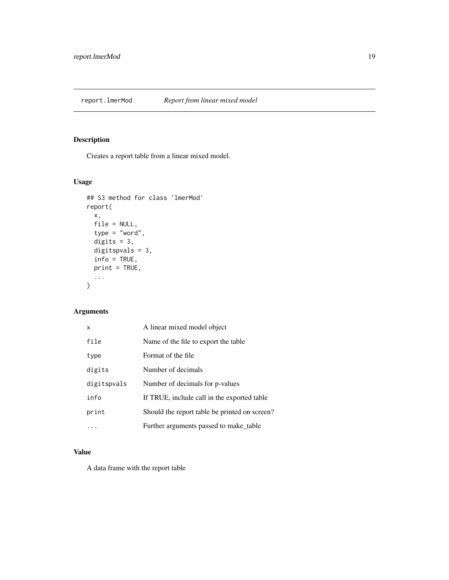<span id="page-18-0"></span>

Creates a report table from a linear mixed model.

## Usage

```
## S3 method for class 'lmerMod'
report(
 x,
 file = NULL,
 type = "word",digits = 3,
 digitspvals = 3,
  info = TRUE,
 print = TRUE,
  ...
)
```
## Arguments

| x           | A linear mixed model object                   |
|-------------|-----------------------------------------------|
| file        | Name of the file to export the table          |
| type        | Format of the file                            |
| digits      | Number of decimals                            |
| digitspvals | Number of decimals for p-values               |
| info        | If TRUE, include call in the exported table   |
| print       | Should the report table be printed on screen? |
|             | Further arguments passed to make_table        |

## Value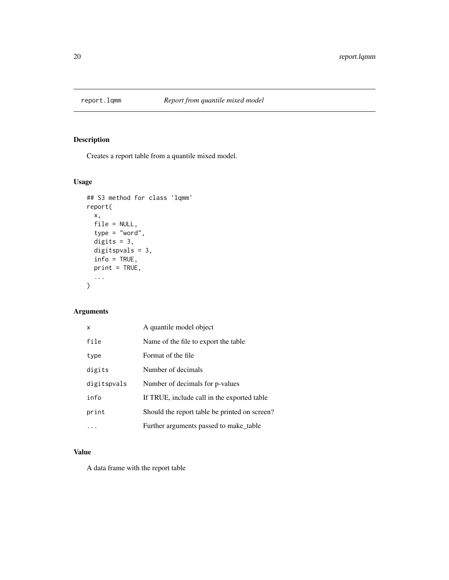<span id="page-19-0"></span>

Creates a report table from a quantile mixed model.

## Usage

```
## S3 method for class 'lqmm'
report(
 x,
 file = NULL,
 type = "word",digits = 3,
 digitspvals = 3,
  info = TRUE,
 print = TRUE,
  ...
)
```
## Arguments

| x           | A quantile model object                       |
|-------------|-----------------------------------------------|
| file        | Name of the file to export the table.         |
| type        | Format of the file                            |
| digits      | Number of decimals                            |
| digitspvals | Number of decimals for p-values               |
| info        | If TRUE, include call in the exported table   |
| print       | Should the report table be printed on screen? |
|             | Further arguments passed to make_table        |

## Value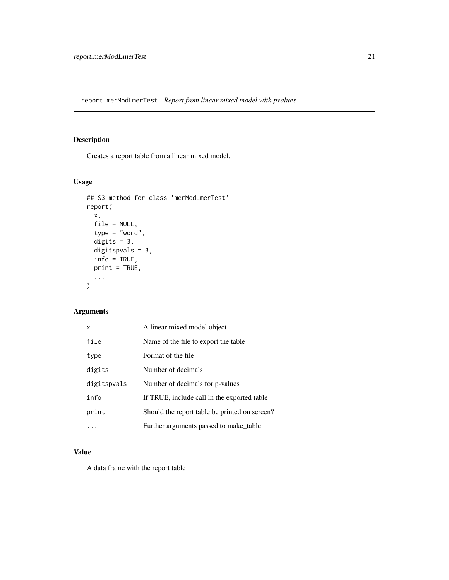<span id="page-20-0"></span>report.merModLmerTest *Report from linear mixed model with pvalues*

#### Description

Creates a report table from a linear mixed model.

#### Usage

```
## S3 method for class 'merModLmerTest'
report(
 x,
 file = NULL,
 type = "word",digits = 3,
 digitspvals = 3,
 info = TRUE,print = TRUE,
  ...
)
```
## Arguments

| x           | A linear mixed model object                   |
|-------------|-----------------------------------------------|
| file        | Name of the file to export the table.         |
| type        | Format of the file                            |
| digits      | Number of decimals                            |
| digitspvals | Number of decimals for p-values               |
| info        | If TRUE, include call in the exported table   |
| print       | Should the report table be printed on screen? |
|             | Further arguments passed to make table        |

## Value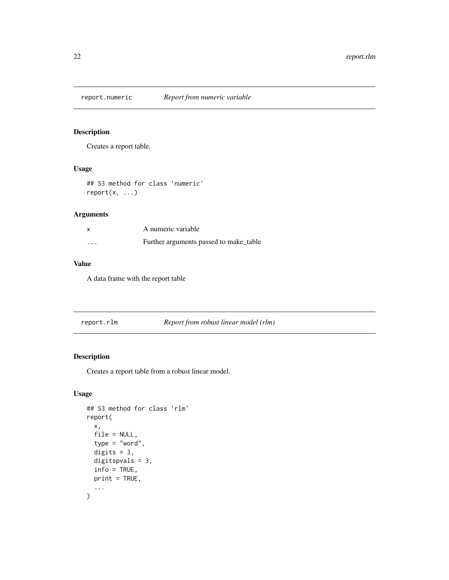<span id="page-21-0"></span>

Creates a report table.

## Usage

## S3 method for class 'numeric' report(x, ...)

#### Arguments

|          | A numeric variable                     |
|----------|----------------------------------------|
| $\cdots$ | Further arguments passed to make table |

## Value

A data frame with the report table

| report.rlm | Report from robust linear model (rlm) |
|------------|---------------------------------------|
|            |                                       |

## Description

Creates a report table from a robust linear model.

#### Usage

```
## S3 method for class 'rlm'
report(
 x,
 file = NULL,
  type = "word",
 digits = 3,
 digitspvals = 3,
  info = TRUE,print = TRUE,
  ...
\mathcal{L}
```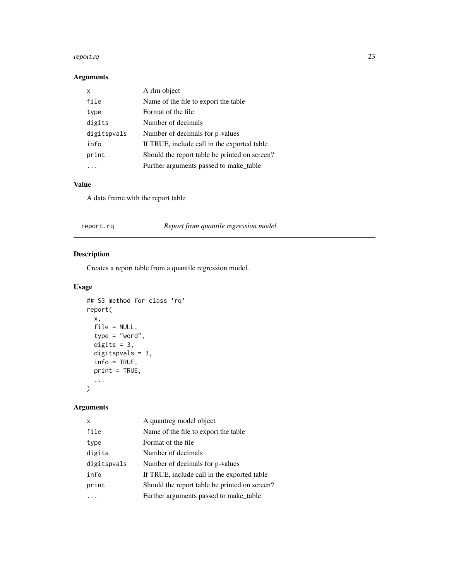#### <span id="page-22-0"></span>report.rq 23

## Arguments

| x           | A rlm object                                  |
|-------------|-----------------------------------------------|
| file        | Name of the file to export the table          |
| type        | Format of the file                            |
| digits      | Number of decimals                            |
| digitspvals | Number of decimals for p-values               |
| info        | If TRUE, include call in the exported table   |
| print       | Should the report table be printed on screen? |
|             | Further arguments passed to make_table        |

#### Value

A data frame with the report table

| Report from quantile regression model<br>report.rq |  |
|----------------------------------------------------|--|
|----------------------------------------------------|--|

## Description

Creates a report table from a quantile regression model.

#### Usage

```
## S3 method for class 'rq'
report(
  x,
 file = NULL,
 type = "word",digits = 3,
 digitspvals = 3,
  info = TRUE,
 print = TRUE,
  ...
\mathcal{L}
```
## Arguments

| x           | A quantreg model object                       |
|-------------|-----------------------------------------------|
| file        | Name of the file to export the table          |
| type        | Format of the file                            |
| digits      | Number of decimals                            |
| digitspvals | Number of decimals for p-values               |
| info        | If TRUE, include call in the exported table   |
| print       | Should the report table be printed on screen? |
|             | Further arguments passed to make_table        |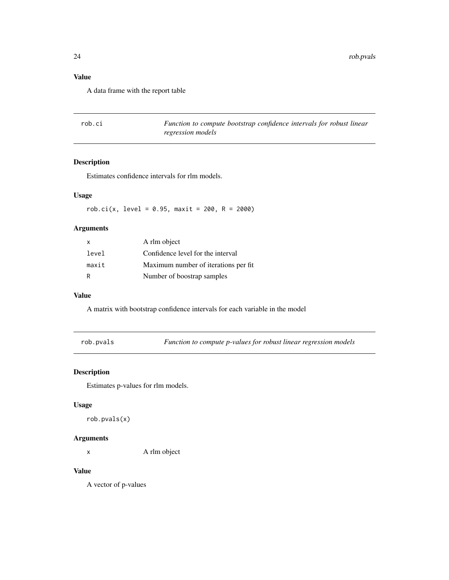<span id="page-23-0"></span>24 rob.pvals

## Value

A data frame with the report table

| rob.ci | Function to compute bootstrap confidence intervals for robust linear |
|--------|----------------------------------------------------------------------|
|        | regression models                                                    |

## Description

Estimates confidence intervals for rlm models.

#### Usage

 $rob.ci(x, level = 0.95, maxit = 200, R = 2000)$ 

#### Arguments

| x     | A rlm object                          |
|-------|---------------------------------------|
| level | Confidence level for the interval     |
| maxit | Maximum number of iterations per fit. |
| R     | Number of boostrap samples            |

#### Value

A matrix with bootstrap confidence intervals for each variable in the model

rob.pvals *Function to compute p-values for robust linear regression models*

#### Description

Estimates p-values for rlm models.

#### Usage

rob.pvals(x)

#### Arguments

x A rlm object

#### Value

A vector of p-values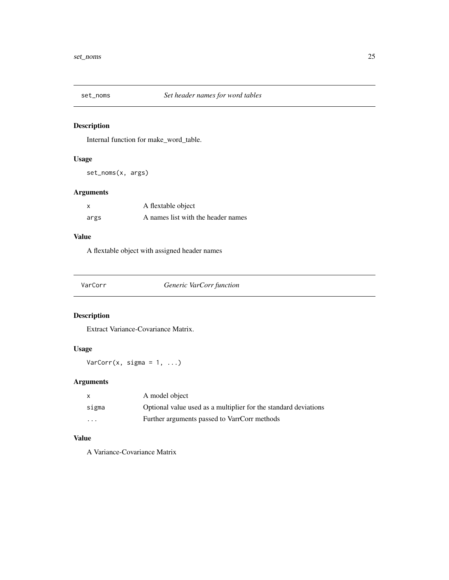<span id="page-24-0"></span>

Internal function for make\_word\_table.

#### Usage

set\_noms(x, args)

#### Arguments

| x    | A flextable object                 |
|------|------------------------------------|
| args | A names list with the header names |

### Value

A flextable object with assigned header names

| Generic VarCorr function<br>VarCorr |
|-------------------------------------|
|-------------------------------------|

## Description

Extract Variance-Covariance Matrix.

#### Usage

 $VarCorr(x, sigma = 1, ...)$ 

#### Arguments

| X       | A model object                                                  |
|---------|-----------------------------------------------------------------|
| sigma   | Optional value used as a multiplier for the standard deviations |
| $\cdot$ | Further arguments passed to VarrCorr methods                    |

## Value

A Variance-Covariance Matrix